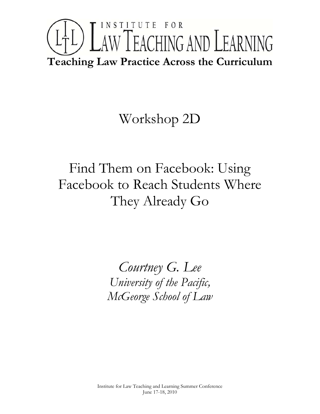## INSTITUTE FOR LTL) LAW TEACHING AND LEARNING **Teaching Law Practice Across the Curriculum**

## Workshop 2D

Find Them on Facebook: Using Facebook to Reach Students Where They Already Go

> *Courtney G. Lee University of the Pacific, McGeorge School of Law*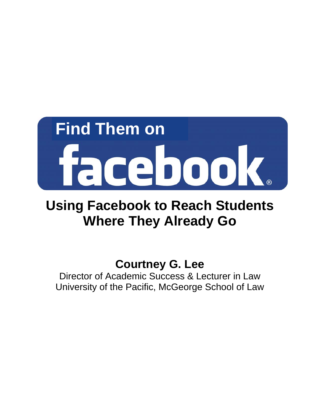# **Find Them on**  facebook

## **Using Facebook to Reach Students Where They Already Go**

### **Courtney G. Lee**

Director of Academic Success & Lecturer in Law University of the Pacific, McGeorge School of Law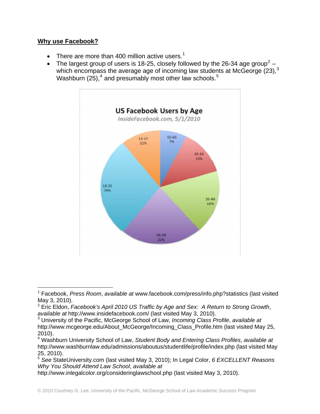#### **Why use Facebook?**

- There are more than 400 million active users.<sup>[1](#page-2-0)</sup>
- The largest group of users is 18-[2](#page-2-1)5, closely followed by the 26-34 age group<sup>2</sup> which encompass the average age of incoming law students at McGeorge  $(23)$  $(23)$  $(23)$ ,<sup>3</sup> Washburn (25),<sup>[4](#page-2-3)</sup> and presumably most other law schools.<sup>[5](#page-2-4)</sup>



<span id="page-2-0"></span> $\overline{a}$ 1 Facebook, *Press Room*, *available at* www.facebook.com/press/info.php?statistics (last visited May 3, 2010).

<span id="page-2-1"></span><sup>2</sup> Eric Eldon, *Facebook's April 2010 US Traffic by Age and Sex: A Return to Strong Growth*, *available at* http://www.insidefacebook.com/ (last visited May 3, 2010).

<span id="page-2-2"></span><sup>3</sup> University of the Pacific, McGeorge School of Law, *Incoming Class Profile*, *available at* http://www.mcgeorge.edu/About\_McGeorge/Incoming\_Class\_Profile.htm (last visited May 25, 2010).

<span id="page-2-3"></span><sup>4</sup> Washburn University School of Law, *Student Body and Entering Class Profiles*, *available at* http://www.washburnlaw.edu/admissions/aboutus/studentlife/profile/index.php (last visited May 25, 2010).

<span id="page-2-4"></span><sup>5</sup> *See* StateUniversity.com (last visited May 3, 2010); In Legal Color, *6 EXCELLENT Reasons Why You Should Attend Law School*, *available at*

http://www.inlegalcolor.org/consideringlawschool.php (last visited May 3, 2010).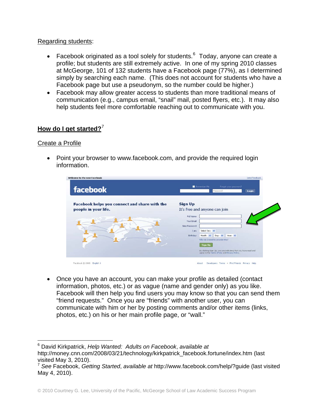#### Regarding students:

- Facebook originated as a tool solely for students. $6$  Today, anyone can create a profile; but students are still extremely active. In one of my spring 2010 classes at McGeorge, 101 of 132 students have a Facebook page (77%), as I determined simply by searching each name. (This does not account for students who have a Facebook page but use a pseudonym, so the number could be higher.)
- Facebook may allow greater access to students than more traditional means of communication (e.g., campus email, "snail" mail, posted flyers, etc.). It may also help students feel more comfortable reaching out to communicate with you.

#### **How do I get started?**[7](#page-3-1)

#### Create a Profile

<u>.</u>

• Point your browser to www.facebook.com, and provide the required login information.

| Welcome to the new Facebook                                           | Send feedback                                                                                                                                                                                                             |
|-----------------------------------------------------------------------|---------------------------------------------------------------------------------------------------------------------------------------------------------------------------------------------------------------------------|
| facebook                                                              | Remember Me<br>Forgot your password?<br>Login<br>Password                                                                                                                                                                 |
| Facebook helps you connect and share with the<br>people in your life. | <b>Sign Up</b><br>It's free and anyone can join<br>Full Name:<br>Your Email:<br>New Password:<br>Select Sex: V<br>I am:<br>Month: V<br>Day: V<br>Year: V<br>Birthday:<br>Why do I need to provide this?<br><b>Sign Up</b> |

• Once you have an account, you can make your profile as detailed (contact information, photos, etc.) or as vague (name and gender only) as you like. Facebook will then help you find users you may know so that you can send them "friend requests." Once you are "friends" with another user, you can communicate with him or her by posting comments and/or other items (links, photos, etc.) on his or her main profile page, or "wall."

<span id="page-3-0"></span><sup>6</sup> David Kirkpatrick, *Help Wanted: Adults on Facebook*, *available at* http://money.cnn.com/2008/03/21/technology/kirkpatrick\_facebook.fortune/index.htm (last visited May 3, 2010).

<span id="page-3-1"></span><sup>7</sup> *See* Facebook, *Getting Started*, *available at* http://www.facebook.com/help/?guide (last visited May 4, 2010).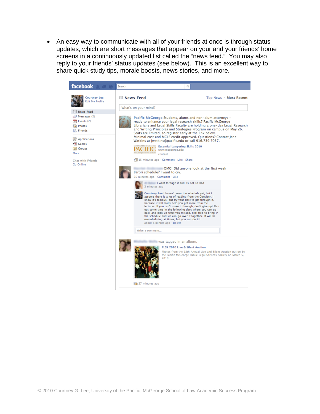• An easy way to communicate with all of your friends at once is through status updates, which are short messages that appear on your and your friends' home screens in a continuously updated list called the "news feed." You may also reply to your friends' status updates (see below). This is an excellent way to share quick study tips, morale boosts, news stories, and more.

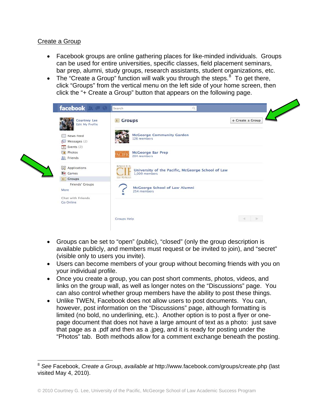#### Create a Group

 $\overline{a}$ 

- Facebook groups are online gathering places for like-minded individuals. Groups can be used for entire universities, specific classes, field placement seminars, bar prep, alumni, study groups, research assistants, student organizations, etc.
- The "Create a Group" function will walk you through the steps.  $8^{\circ}$  $8^{\circ}$  To get there, click "Groups" from the vertical menu on the left side of your home screen, then click the "+ Create a Group" button that appears on the following page.

| <b>Courtney Lee</b><br><b>Edit My Profile</b>  | <b>El</b> Groups                                                                          | + Create a Group |
|------------------------------------------------|-------------------------------------------------------------------------------------------|------------------|
| Rews Feed<br>$\sqrt{2}$ Messages (2)           | <b>McGeorge Community Garden</b><br>126 members                                           |                  |
| $31$ Events (2)<br>Photos<br><b>AR</b> Friends | <b>McGeorge Bar Prep</b><br><b>ACIFI</b><br>204 members                                   |                  |
| <b>导</b> Applications<br>Games<br>1 Groups     | KOIITL<br>University of the Pacific, McGeorge School of Law<br>1,009 members<br>on School |                  |
| Friends' Groups<br>More                        | McGeorge School of Law Alumni<br>254 members                                              |                  |
| Chat with Friends<br>Go Online                 |                                                                                           |                  |

- Groups can be set to "open" (public), "closed" (only the group description is available publicly, and members must request or be invited to join), and "secret" (visible only to users you invite).
- Users can become members of your group without becoming friends with you on your individual profile.
- Once you create a group, you can post short comments, photos, videos, and links on the group wall, as well as longer notes on the "Discussions" page. You can also control whether group members have the ability to post these things.
- Unlike TWEN, Facebook does not allow users to post documents. You can, however, post information on the "Discussions" page, although formatting is limited (no bold, no underlining, etc.). Another option is to post a flyer or onepage document that does not have a large amount of text as a photo: just save that page as a .pdf and then as a .jpeg, and it is ready for posting under the "Photos" tab. Both methods allow for a comment exchange beneath the posting.

<span id="page-5-0"></span><sup>8</sup> *See* Facebook, *Create a Group*, *available at* http://www.facebook.com/groups/create.php (last visited May 4, 2010).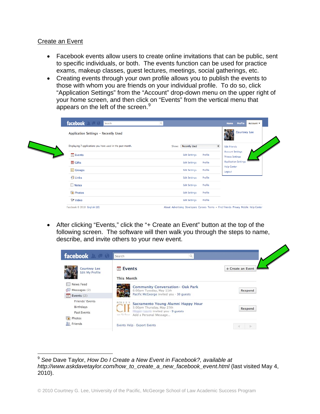#### Create an Event

- Facebook events allow users to create online invitations that can be public, sent to specific individuals, or both. The events function can be used for practice exams, makeup classes, guest lectures, meetings, social gatherings, etc.
- Creating events through your own profile allows you to publish the events to those with whom you are friends on your individual profile. To do so, click "Application Settings" from the "Account" drop-down menu on the upper right of your home screen, and then click on "Events" from the vertical menu that appears on the left of the screen. $9$

| facebook<br>Search                                         | $\Omega$                        | Profile<br>Home<br>Account $\blacktriangledown$    |
|------------------------------------------------------------|---------------------------------|----------------------------------------------------|
| Application Settings - Recently Used                       |                                 | <b>Courtney Lee</b>                                |
| Displaying 7 applications you have used in the past month. | <b>Recently Used</b><br>Show:   | $\ddot{\mathbf{r}}$<br><b>Edit Friends</b>         |
| 31 Events                                                  | Profile<br><b>Edit Settings</b> | <b>Account Settings</b><br><b>Privacy Settings</b> |
| <b>置 Gifts</b>                                             | Profile<br><b>Edit Settings</b> | <b>Application Settings</b>                        |
| $\boxed{11}$ Groups                                        | Profile<br><b>Edit Settings</b> | <b>Help Center</b><br>Logout                       |
| $\P$ Links                                                 | Profile<br><b>Edit Settings</b> |                                                    |
| Notes                                                      | Profile<br><b>Edit Settings</b> |                                                    |
| Photos                                                     | Profile<br><b>Edit Settings</b> |                                                    |
| <sup>जून</sup> Video                                       | Profile<br><b>Edit Settings</b> |                                                    |

• After clicking "Events," click the "+ Create an Event" button at the top of the following screen. The software will then walk you through the steps to name, describe, and invite others to your new event.

<span id="page-6-0"></span>

<sup>1</sup> <sup>9</sup> *See* Dave Taylor, *How Do I Create a New Event in Facebook?, available at http://www.askdavetaylor.com/how\_to\_create\_a\_new\_facebook\_event.html* (last visited May 4, 2010).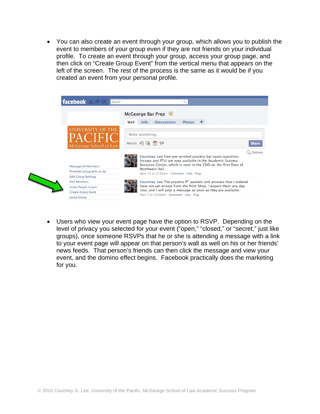• You can also create an event through your group, which allows you to publish the event to members of your group even if they are not friends on your individual profile. To create an event through your group, access your group page, and then click on "Create Group Event" from the vertical menu that appears on the left of the screen. The rest of the process is the same as it would be if you created an event from your personal profile.

|                            | McGeorge Bar Prep<br>Photos<br><b>Discussions</b><br>÷<br>Wall<br>Info                                                                                                                     |              |
|----------------------------|--------------------------------------------------------------------------------------------------------------------------------------------------------------------------------------------|--------------|
| <b>UNIVERSITY OF THE</b>   | Write something                                                                                                                                                                            |              |
| McGeorge School of Law     | Attach: 6 厘 31 只                                                                                                                                                                           | <b>Share</b> |
| Message All Members        | Courtney Lee Free pre-printed practice bar exam questions<br>(essays and PTs) are now available in the Academic Success<br>Resource Center, which is next to the CDO on the first floor of | Q Options    |
| Promote Group with an Ad   | Northwest Hall.<br>April 13 at 12:02pm · Comment · Like · Flag                                                                                                                             |              |
| <b>Edit Group Settings</b> |                                                                                                                                                                                            |              |
| <b>Edit Members</b>        | Courtney Lee The practice PT packets and answers that I ordered                                                                                                                            |              |
| Invite People to Join      | have not yet arrived from the Print Shop. I expect them any day                                                                                                                            |              |
| Create Group Event         | now, and I will post a message as soon as they are available.                                                                                                                              |              |
| Leave Group                | April 7 at 12:00pm · Comment · Like · Flag                                                                                                                                                 |              |

• Users who view your event page have the option to RSVP. Depending on the level of privacy you selected for your event ("open," "closed," or "secret," just like groups), once someone RSVPs that he or she is attending a message with a link to your event page will appear on that person's wall as well on his or her friends' news feeds. That person's friends can then click the message and view your event, and the domino effect begins. Facebook practically does the marketing for you.